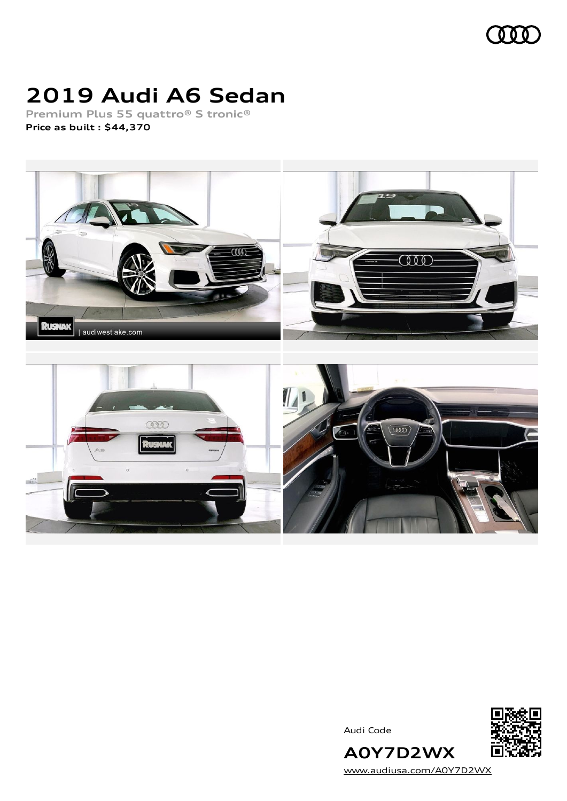

## **2019 Audi A6 Sedan**

**Premium Plus 55 quattro® S tronic® Price as built [:](#page-8-0) \$44,370**







[www.audiusa.com/A0Y7D2WX](https://www.audiusa.com/A0Y7D2WX)

**A0Y7D2WX**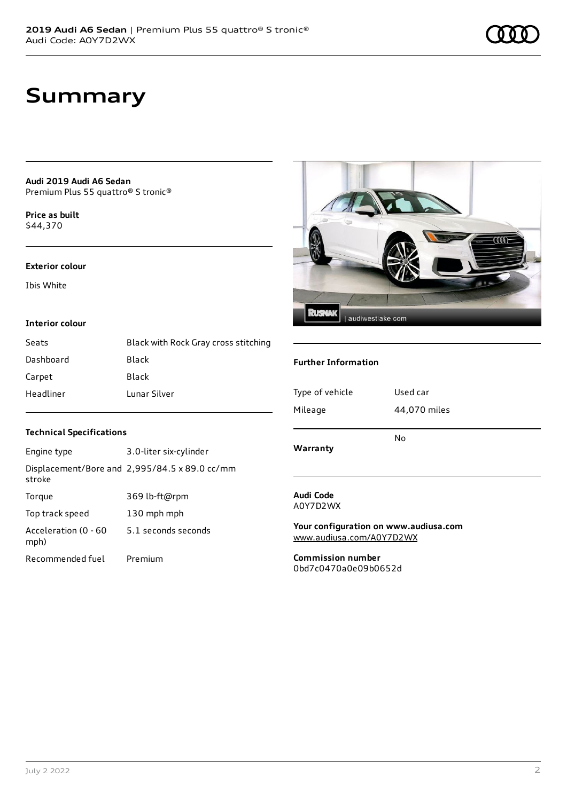**Audi 2019 Audi A6 Sedan** Premium Plus 55 quattro® S tronic®

**Price as buil[t](#page-8-0)** \$44,370

#### **Exterior colour**

Ibis White

#### **Interior colour**

| Seats     | Black with Rock Gray cross stitching |
|-----------|--------------------------------------|
| Dashboard | Black                                |
| Carpet    | Black                                |
| Headliner | Lunar Silver                         |



#### **Further Information**

| Mileage  | 44,070 miles |
|----------|--------------|
| Warranty | No           |

### **Technical Specifications**

| Engine type                  | 3.0-liter six-cylinder                        |
|------------------------------|-----------------------------------------------|
| stroke                       | Displacement/Bore and 2,995/84.5 x 89.0 cc/mm |
| Torque                       | 369 lb-ft@rpm                                 |
| Top track speed              | 130 mph mph                                   |
| Acceleration (0 - 60<br>mph) | 5.1 seconds seconds                           |
| Recommended fuel             | Premium                                       |

#### **Audi Code** A0Y7D2WX

**Your configuration on www.audiusa.com** [www.audiusa.com/A0Y7D2WX](https://www.audiusa.com/A0Y7D2WX)

**Commission number** 0bd7c0470a0e09b0652d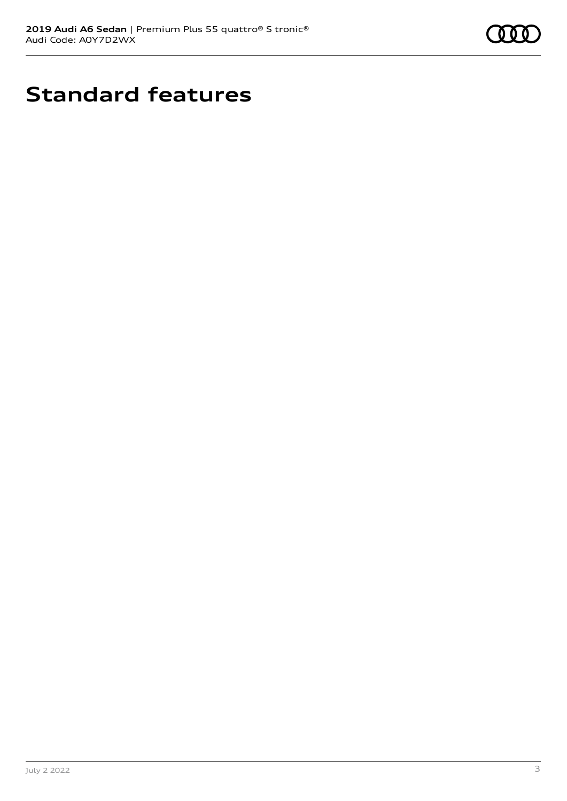

# **Standard features**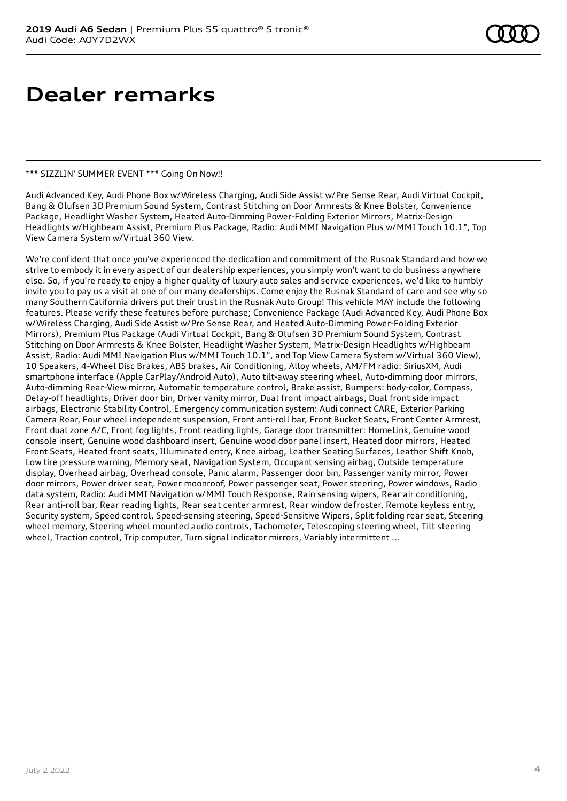## **Dealer remarks**

#### \*\*\* SIZZLIN' SUMMER EVENT \*\*\* Going On Now!!

Audi Advanced Key, Audi Phone Box w/Wireless Charging, Audi Side Assist w/Pre Sense Rear, Audi Virtual Cockpit, Bang & Olufsen 3D Premium Sound System, Contrast Stitching on Door Armrests & Knee Bolster, Convenience Package, Headlight Washer System, Heated Auto-Dimming Power-Folding Exterior Mirrors, Matrix-Design Headlights w/Highbeam Assist, Premium Plus Package, Radio: Audi MMI Navigation Plus w/MMI Touch 10.1", Top View Camera System w/Virtual 360 View.

We're confident that once you've experienced the dedication and commitment of the Rusnak Standard and how we strive to embody it in every aspect of our dealership experiences, you simply won't want to do business anywhere else. So, if you're ready to enjoy a higher quality of luxury auto sales and service experiences, we'd like to humbly invite you to pay us a visit at one of our many dealerships. Come enjoy the Rusnak Standard of care and see why so many Southern California drivers put their trust in the Rusnak Auto Group! This vehicle MAY include the following features. Please verify these features before purchase; Convenience Package (Audi Advanced Key, Audi Phone Box w/Wireless Charging, Audi Side Assist w/Pre Sense Rear, and Heated Auto-Dimming Power-Folding Exterior Mirrors), Premium Plus Package (Audi Virtual Cockpit, Bang & Olufsen 3D Premium Sound System, Contrast Stitching on Door Armrests & Knee Bolster, Headlight Washer System, Matrix-Design Headlights w/Highbeam Assist, Radio: Audi MMI Navigation Plus w/MMI Touch 10.1", and Top View Camera System w/Virtual 360 View), 10 Speakers, 4-Wheel Disc Brakes, ABS brakes, Air Conditioning, Alloy wheels, AM/FM radio: SiriusXM, Audi smartphone interface (Apple CarPlay/Android Auto), Auto tilt-away steering wheel, Auto-dimming door mirrors, Auto-dimming Rear-View mirror, Automatic temperature control, Brake assist, Bumpers: body-color, Compass, Delay-off headlights, Driver door bin, Driver vanity mirror, Dual front impact airbags, Dual front side impact airbags, Electronic Stability Control, Emergency communication system: Audi connect CARE, Exterior Parking Camera Rear, Four wheel independent suspension, Front anti-roll bar, Front Bucket Seats, Front Center Armrest, Front dual zone A/C, Front fog lights, Front reading lights, Garage door transmitter: HomeLink, Genuine wood console insert, Genuine wood dashboard insert, Genuine wood door panel insert, Heated door mirrors, Heated Front Seats, Heated front seats, Illuminated entry, Knee airbag, Leather Seating Surfaces, Leather Shift Knob, Low tire pressure warning, Memory seat, Navigation System, Occupant sensing airbag, Outside temperature display, Overhead airbag, Overhead console, Panic alarm, Passenger door bin, Passenger vanity mirror, Power door mirrors, Power driver seat, Power moonroof, Power passenger seat, Power steering, Power windows, Radio data system, Radio: Audi MMI Navigation w/MMI Touch Response, Rain sensing wipers, Rear air conditioning, Rear anti-roll bar, Rear reading lights, Rear seat center armrest, Rear window defroster, Remote keyless entry, Security system, Speed control, Speed-sensing steering, Speed-Sensitive Wipers, Split folding rear seat, Steering wheel memory, Steering wheel mounted audio controls, Tachometer, Telescoping steering wheel, Tilt steering wheel, Traction control, Trip computer, Turn signal indicator mirrors, Variably intermittent ...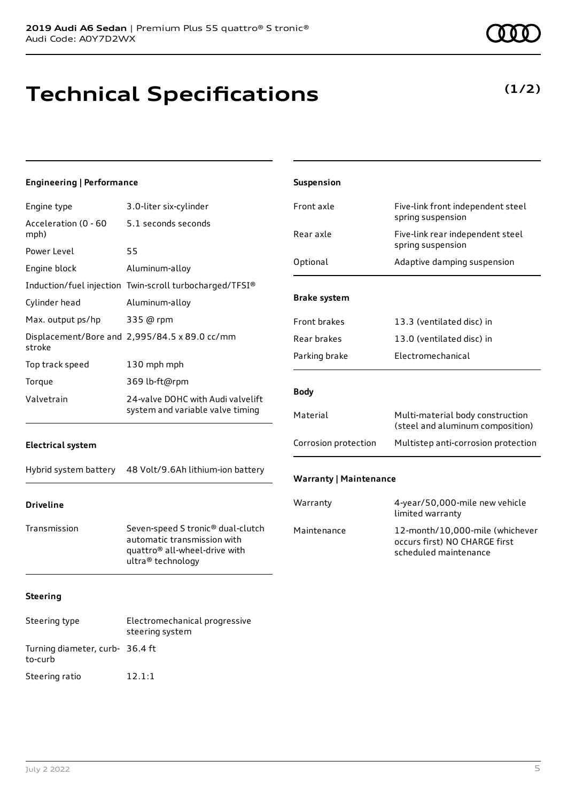# **Technical Specifications**

| <b>Engineering   Performance</b>                                                    |                                                                                                                                    | Suspension                                                           |                                                                                           |
|-------------------------------------------------------------------------------------|------------------------------------------------------------------------------------------------------------------------------------|----------------------------------------------------------------------|-------------------------------------------------------------------------------------------|
| Engine type                                                                         | 3.0-liter six-cylinder                                                                                                             | Front axle                                                           | Five-link front independent steel                                                         |
| Acceleration (0 - 60<br>mph)                                                        | 5.1 seconds seconds                                                                                                                | Rear axle                                                            | spring suspension<br>Five-link rear independent steel                                     |
| Power Level                                                                         | 55                                                                                                                                 |                                                                      | spring suspension                                                                         |
| Engine block                                                                        | Aluminum-alloy                                                                                                                     | Optional                                                             | Adaptive damping suspension                                                               |
|                                                                                     | Induction/fuel injection Twin-scroll turbocharged/TFSI®                                                                            |                                                                      |                                                                                           |
| Cylinder head                                                                       | Aluminum-alloy                                                                                                                     | <b>Brake system</b>                                                  |                                                                                           |
| Max. output ps/hp                                                                   | 335 @ rpm                                                                                                                          | Front brakes                                                         | 13.3 (ventilated disc) in                                                                 |
| stroke                                                                              | Displacement/Bore and 2,995/84.5 x 89.0 cc/mm                                                                                      | Rear brakes                                                          | 13.0 (ventilated disc) in                                                                 |
| Top track speed                                                                     | 130 mph mph                                                                                                                        | Parking brake                                                        | Electromechanical                                                                         |
| Torque                                                                              | 369 lb-ft@rpm                                                                                                                      |                                                                      |                                                                                           |
| 24-valve DOHC with Audi valvelift<br>Valvetrain<br>system and variable valve timing |                                                                                                                                    | <b>Body</b>                                                          |                                                                                           |
|                                                                                     | Material                                                                                                                           | Multi-material body construction<br>(steel and aluminum composition) |                                                                                           |
| <b>Electrical system</b>                                                            |                                                                                                                                    | Corrosion protection                                                 | Multistep anti-corrosion protection                                                       |
| Hybrid system battery                                                               | 48 Volt/9.6Ah lithium-ion battery                                                                                                  | <b>Warranty   Maintenance</b>                                        |                                                                                           |
| <b>Driveline</b>                                                                    |                                                                                                                                    | Warranty                                                             | 4-year/50,000-mile new vehicle<br>limited warranty                                        |
| Transmission                                                                        | Seven-speed S tronic® dual-clutch<br>automatic transmission with<br>quattro <sup>®</sup> all-wheel-drive with<br>ultra® technology | Maintenance                                                          | 12-month/10,000-mile (whichever<br>occurs first) NO CHARGE first<br>scheduled maintenance |
| <b>Steering</b>                                                                     |                                                                                                                                    |                                                                      |                                                                                           |
| Steering type                                                                       | Electromechanical progressive<br>steering system                                                                                   |                                                                      |                                                                                           |

to-curb

Turning diameter, curb-36.4 ft

Steering ratio 12.1:1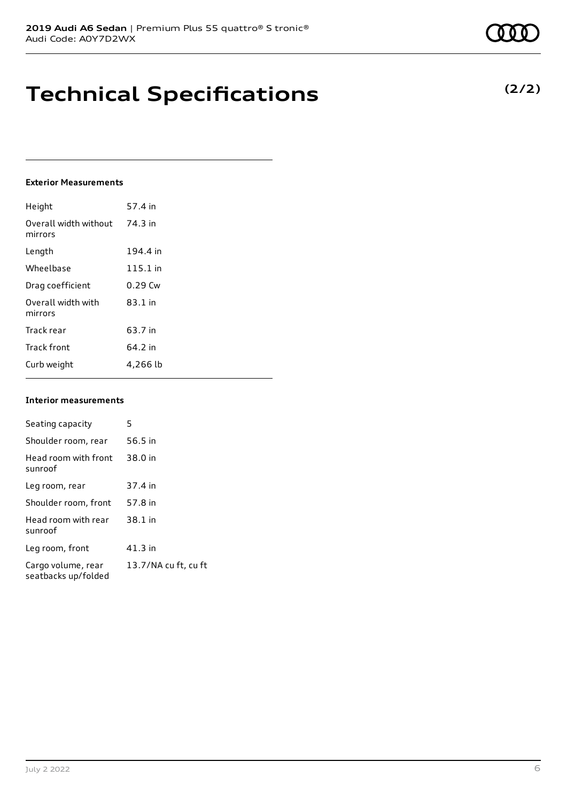### **Technical Specifications**

### **Exterior Measurements**

| Height                           | 57.4 in   |
|----------------------------------|-----------|
| Overall width without<br>mirrors | 74.3 in   |
| Length                           | 194.4 in  |
| Wheelbase                        | 115.1 in  |
| Drag coefficient                 | $0.29$ Cw |
| Overall width with<br>mirrors    | $83.1$ in |
| Track rear                       | 63.7 in   |
| <b>Track front</b>               | 64.2 in   |
| Curb weight                      | 4,266 lb  |

#### **Interior measurements**

| Seating capacity                          | 5                    |
|-------------------------------------------|----------------------|
| Shoulder room, rear                       | 56.5 in              |
| Head room with front<br>sunroof           | 38.0 in              |
| Leg room, rear                            | 37.4 in              |
| Shoulder room, front                      | 57.8 in              |
| Head room with rear<br>sunroof            | 38.1 in              |
| Leg room, front                           | $41.3$ in            |
| Cargo volume, rear<br>seatbacks up/folded | 13.7/NA cu ft, cu ft |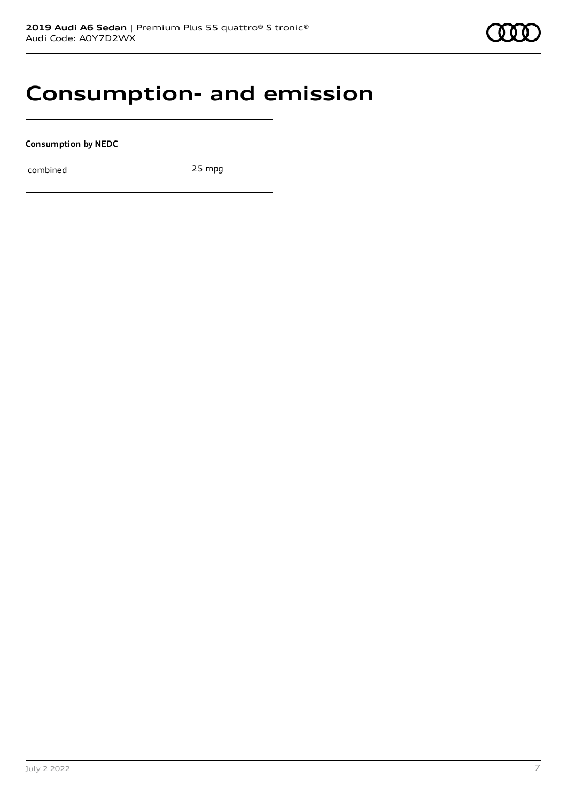

### **Consumption- and emission**

**Consumption by NEDC**

combined 25 mpg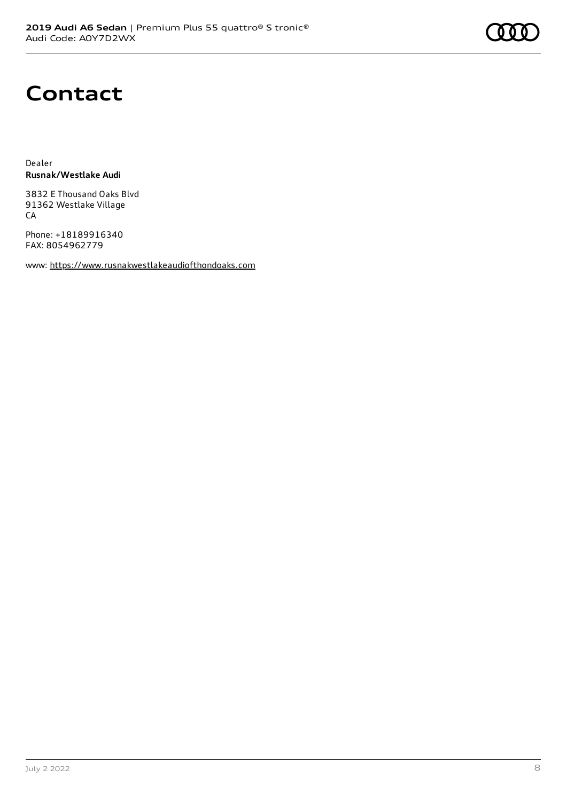## **Contact**

Dealer **Rusnak/Westlake Audi**

3832 E Thousand Oaks Blvd 91362 Westlake Village CA

Phone: +18189916340 FAX: 8054962779

www: [https://www.rusnakwestlakeaudiofthondoaks.com](https://www.rusnakwestlakeaudiofthondoaks.com/)